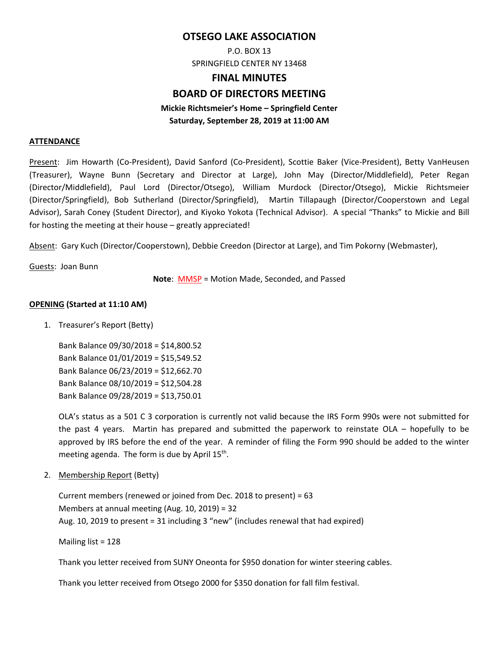## **OTSEGO LAKE ASSOCIATION**

P.O. BOX 13 SPRINGFIELD CENTER NY 13468

# **FINAL MINUTES**

# **BOARD OF DIRECTORS MEETING**

### **Mickie Richtsmeier's Home – Springfield Center Saturday, September 28, 2019 at 11:00 AM**

#### **ATTENDANCE**

Present: Jim Howarth (Co‐President), David Sanford (Co‐President), Scottie Baker (Vice‐President), Betty VanHeusen (Treasurer), Wayne Bunn (Secretary and Director at Large), John May (Director/Middlefield), Peter Regan (Director/Middlefield), Paul Lord (Director/Otsego), William Murdock (Director/Otsego), Mickie Richtsmeier (Director/Springfield), Bob Sutherland (Director/Springfield), Martin Tillapaugh (Director/Cooperstown and Legal Advisor), Sarah Coney (Student Director), and Kiyoko Yokota (Technical Advisor). A special "Thanks" to Mickie and Bill for hosting the meeting at their house – greatly appreciated!

Absent: Gary Kuch (Director/Cooperstown), Debbie Creedon (Director at Large), and Tim Pokorny (Webmaster),

Guests: Joan Bunn

**Note**: MMSP = Motion Made, Seconded, and Passed

#### **OPENING (Started at 11:10 AM)**

1. Treasurer's Report (Betty)

Bank Balance 09/30/2018 = \$14,800.52 Bank Balance 01/01/2019 = \$15,549.52 Bank Balance 06/23/2019 = \$12,662.70 Bank Balance 08/10/2019 = \$12,504.28 Bank Balance 09/28/2019 = \$13,750.01

OLA's status as a 501 C 3 corporation is currently not valid because the IRS Form 990s were not submitted for the past 4 years. Martin has prepared and submitted the paperwork to reinstate  $OLA -$  hopefully to be approved by IRS before the end of the year. A reminder of filing the Form 990 should be added to the winter meeting agenda. The form is due by April  $15<sup>th</sup>$ .

2. Membership Report (Betty)

Current members (renewed or joined from Dec. 2018 to present) = 63 Members at annual meeting (Aug. 10, 2019) = 32 Aug. 10, 2019 to present = 31 including 3 "new" (includes renewal that had expired)

Mailing list = 128

Thank you letter received from SUNY Oneonta for \$950 donation for winter steering cables.

Thank you letter received from Otsego 2000 for \$350 donation for fall film festival.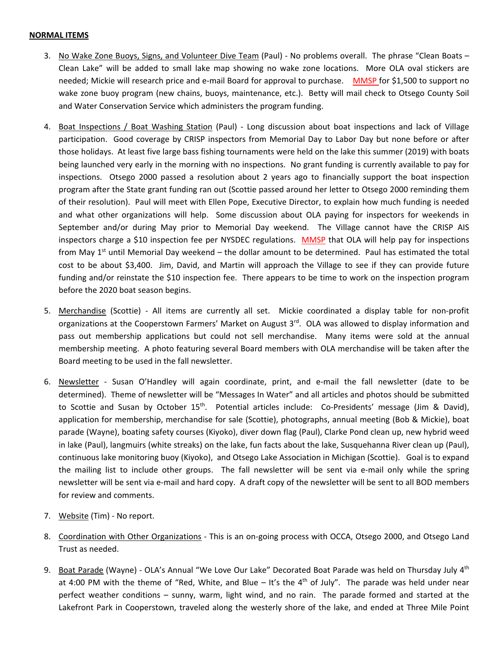#### **NORMAL ITEMS**

- 3. No Wake Zone Buoys, Signs, and Volunteer Dive Team (Paul) ‐ No problems overall. The phrase "Clean Boats Clean Lake" will be added to small lake map showing no wake zone locations. More OLA oval stickers are needed; Mickie will research price and e-mail Board for approval to purchase. MMSP for \$1,500 to support no wake zone buoy program (new chains, buoys, maintenance, etc.). Betty will mail check to Otsego County Soil and Water Conservation Service which administers the program funding.
- 4. Boat Inspections / Boat Washing Station (Paul) Long discussion about boat inspections and lack of Village participation. Good coverage by CRISP inspectors from Memorial Day to Labor Day but none before or after those holidays. At least five large bass fishing tournaments were held on the lake this summer (2019) with boats being launched very early in the morning with no inspections. No grant funding is currently available to pay for inspections. Otsego 2000 passed a resolution about 2 years ago to financially support the boat inspection program after the State grant funding ran out (Scottie passed around her letter to Otsego 2000 reminding them of their resolution). Paul will meet with Ellen Pope, Executive Director, to explain how much funding is needed and what other organizations will help. Some discussion about OLA paying for inspectors for weekends in September and/or during May prior to Memorial Day weekend. The Village cannot have the CRISP AIS inspectors charge a \$10 inspection fee per NYSDEC regulations. MMSP that OLA will help pay for inspections from May  $1<sup>st</sup>$  until Memorial Day weekend – the dollar amount to be determined. Paul has estimated the total cost to be about \$3,400. Jim, David, and Martin will approach the Village to see if they can provide future funding and/or reinstate the \$10 inspection fee. There appears to be time to work on the inspection program before the 2020 boat season begins.
- 5. Merchandise (Scottie) ‐ All items are currently all set. Mickie coordinated a display table for non‐profit organizations at the Cooperstown Farmers' Market on August 3<sup>rd</sup>. OLA was allowed to display information and pass out membership applications but could not sell merchandise. Many items were sold at the annual membership meeting. A photo featuring several Board members with OLA merchandise will be taken after the Board meeting to be used in the fall newsletter.
- 6. Newsletter Susan O'Handley will again coordinate, print, and e-mail the fall newsletter (date to be determined). Theme of newsletter will be "Messages In Water" and all articles and photos should be submitted to Scottie and Susan by October 15<sup>th</sup>. Potential articles include: Co-Presidents' message (Jim & David), application for membership, merchandise for sale (Scottie), photographs, annual meeting (Bob & Mickie), boat parade (Wayne), boating safety courses (Kiyoko), diver down flag (Paul), Clarke Pond clean up, new hybrid weed in lake (Paul), langmuirs (white streaks) on the lake, fun facts about the lake, Susquehanna River clean up (Paul), continuous lake monitoring buoy (Kiyoko), and Otsego Lake Association in Michigan (Scottie). Goal is to expand the mailing list to include other groups. The fall newsletter will be sent via e-mail only while the spring newsletter will be sent via e-mail and hard copy. A draft copy of the newsletter will be sent to all BOD members for review and comments.
- 7. Website (Tim) ‐ No report.
- 8. Coordination with Other Organizations ‐ This is an on‐going process with OCCA, Otsego 2000, and Otsego Land Trust as needed.
- 9. Boat Parade (Wayne) OLA's Annual "We Love Our Lake" Decorated Boat Parade was held on Thursday July 4<sup>th</sup> at 4:00 PM with the theme of "Red, White, and Blue – It's the  $4<sup>th</sup>$  of July". The parade was held under near perfect weather conditions - sunny, warm, light wind, and no rain. The parade formed and started at the Lakefront Park in Cooperstown, traveled along the westerly shore of the lake, and ended at Three Mile Point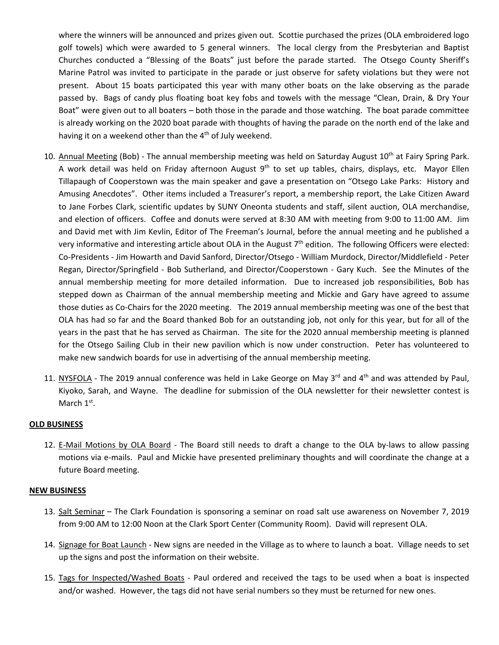where the winners will be announced and prizes given out. Scottie purchased the prizes (OLA embroidered logo golf towels) which were awarded to 5 general winners. The local clergy from the Presbyterian and Baptist Churches conducted a "Blessing of the Boats" just before the parade started. The Otsego County Sheriff's Marine Patrol was invited to participate in the parade or just observe for safety violations but they were not present. About 15 boats participated this year with many other boats on the lake observing as the parade passed by. Bags of candy plus floating boat key fobs and towels with the message "Clean, Drain, & Dry Your Boat" were given out to all boaters – both those in the parade and those watching. The boat parade committee is already working on the 2020 boat parade with thoughts of having the parade on the north end of the lake and having it on a weekend other than the 4<sup>th</sup> of July weekend.

- 10. Annual Meeting (Bob) The annual membership meeting was held on Saturday August 10<sup>th</sup> at Fairy Spring Park. A work detail was held on Friday afternoon August 9<sup>th</sup> to set up tables, chairs, displays, etc. Mayor Ellen Tillapaugh of Cooperstown was the main speaker and gave a presentation on "Otsego Lake Parks: History and Amusing Anecdotes". Other items included a Treasurer's report, a membership report, the Lake Citizen Award to Jane Forbes Clark, scientific updates by SUNY Oneonta students and staff, silent auction, OLA merchandise, and election of officers. Coffee and donuts were served at 8:30 AM with meeting from 9:00 to 11:00 AM. Jim and David met with Jim Kevlin, Editor of The Freeman's Journal, before the annual meeting and he published a very informative and interesting article about OLA in the August  $7<sup>th</sup>$  edition. The following Officers were elected: Co‐Presidents ‐ Jim Howarth and David Sanford, Director/Otsego ‐ William Murdock, Director/Middlefield ‐ Peter Regan, Director/Springfield ‐ Bob Sutherland, and Director/Cooperstown ‐ Gary Kuch. See the Minutes of the annual membership meeting for more detailed information. Due to increased job responsibilities, Bob has stepped down as Chairman of the annual membership meeting and Mickie and Gary have agreed to assume those duties as Co‐Chairs for the 2020 meeting. The 2019 annual membership meeting was one of the best that OLA has had so far and the Board thanked Bob for an outstanding job, not only for this year, but for all of the years in the past that he has served as Chairman. The site for the 2020 annual membership meeting is planned for the Otsego Sailing Club in their new pavilion which is now under construction. Peter has volunteered to make new sandwich boards for use in advertising of the annual membership meeting.
- 11. NYSFOLA The 2019 annual conference was held in Lake George on May  $3^{rd}$  and  $4^{th}$  and was attended by Paul, Kiyoko, Sarah, and Wayne. The deadline for submission of the OLA newsletter for their newsletter contest is March 1<sup>st</sup>.

#### **OLD BUSINESS**

12. E-Mail Motions by OLA Board - The Board still needs to draft a change to the OLA by-laws to allow passing motions via e‐mails. Paul and Mickie have presented preliminary thoughts and will coordinate the change at a future Board meeting.

#### **NEW BUSINESS**

- 13. Salt Seminar The Clark Foundation is sponsoring a seminar on road salt use awareness on November 7, 2019 from 9:00 AM to 12:00 Noon at the Clark Sport Center (Community Room). David will represent OLA.
- 14. Signage for Boat Launch New signs are needed in the Village as to where to launch a boat. Village needs to set up the signs and post the information on their website.
- 15. Tags for Inspected/Washed Boats Paul ordered and received the tags to be used when a boat is inspected and/or washed. However, the tags did not have serial numbers so they must be returned for new ones.